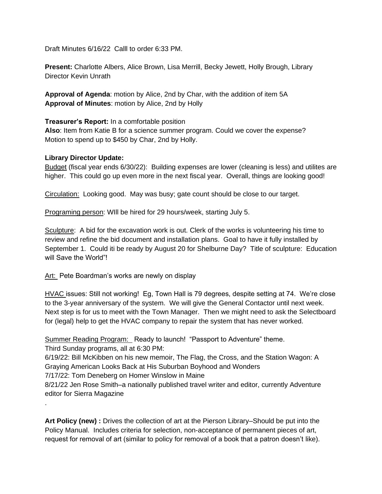Draft Minutes 6/16/22 Calll to order 6:33 PM.

**Present:** Charlotte Albers, Alice Brown, Lisa Merrill, Becky Jewett, Holly Brough, Library Director Kevin Unrath

**Approval of Agenda**: motion by Alice, 2nd by Char, with the addition of item 5A **Approval of Minutes**: motion by Alice, 2nd by Holly

## **Treasurer's Report:** In a comfortable position

**Also**: Item from Katie B for a science summer program. Could we cover the expense? Motion to spend up to \$450 by Char, 2nd by Holly.

## **Library Director Update:**

Budget (fiscal year ends 6/30/22): Building expenses are lower (cleaning is less) and utilites are higher. This could go up even more in the next fiscal year. Overall, things are looking good!

Circulation: Looking good. May was busy; gate count should be close to our target.

Programing person: WIll be hired for 29 hours/week, starting July 5.

Sculpture: A bid for the excavation work is out. Clerk of the works is volunteering his time to review and refine the bid document and installation plans. Goal to have it fully installed by September 1. Could iti be ready by August 20 for Shelburne Day? Title of sculpture: Education will Save the World"!

Art: Pete Boardman's works are newly on display

HVAC issues: Still not working! Eg, Town Hall is 79 degrees, despite setting at 74. We're close to the 3-year anniversary of the system. We will give the General Contactor until next week. Next step is for us to meet with the Town Manager. Then we might need to ask the Selectboard for (legal) help to get the HVAC company to repair the system that has never worked.

Summer Reading Program: Ready to launch! "Passport to Adventure" theme.

Third Sunday programs, all at 6:30 PM:

.

6/19/22: Bill McKibben on his new memoir, The Flag, the Cross, and the Station Wagon: A Graying American Looks Back at His Suburban Boyhood and Wonders

7/17/22: Tom Deneberg on Homer Winslow in Maine

8/21/22 Jen Rose Smith–a nationally published travel writer and editor, currently Adventure editor for Sierra Magazine

**Art Policy (new) :** Drives the collection of art at the Pierson Library–Should be put into the Policy Manual. Includes criteria for selection, non-acceptance of permanent pieces of art, request for removal of art (similar to policy for removal of a book that a patron doesn't like).